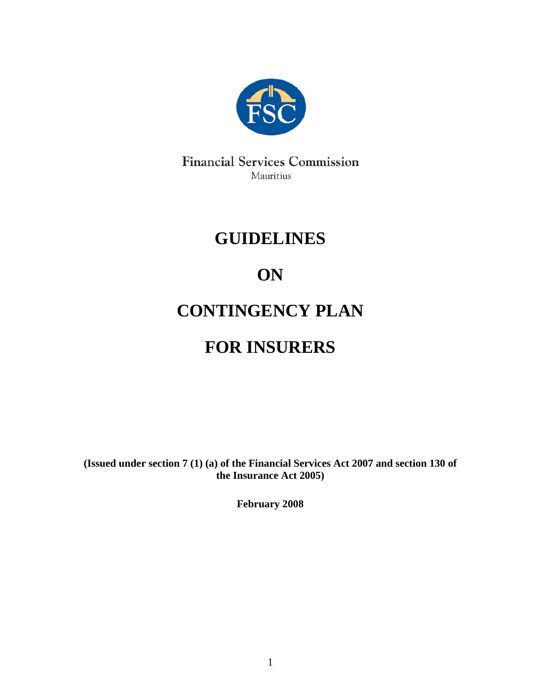

**Financial Services Commission** Mauritius

# **GUIDELINES**

# **ON**

# **CONTINGENCY PLAN**

# **FOR INSURERS**

**(Issued under section 7 (1) (a) of the Financial Services Act 2007 and section 130 of the Insurance Act 2005)** 

**February 2008**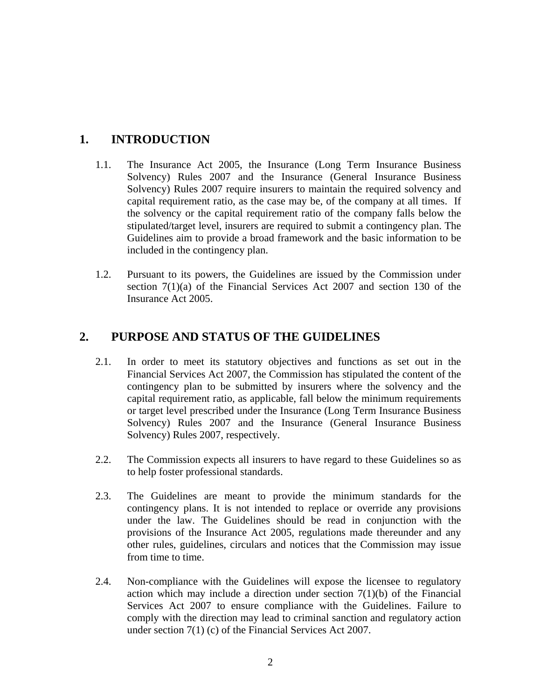### **1. INTRODUCTION**

- 1.1. The Insurance Act 2005, the Insurance (Long Term Insurance Business Solvency) Rules 2007 and the Insurance (General Insurance Business Solvency) Rules 2007 require insurers to maintain the required solvency and capital requirement ratio, as the case may be, of the company at all times. If the solvency or the capital requirement ratio of the company falls below the stipulated/target level, insurers are required to submit a contingency plan. The Guidelines aim to provide a broad framework and the basic information to be included in the contingency plan.
- 1.2. Pursuant to its powers, the Guidelines are issued by the Commission under section 7(1)(a) of the Financial Services Act 2007 and section 130 of the Insurance Act 2005.

#### **2. PURPOSE AND STATUS OF THE GUIDELINES**

- 2.1. In order to meet its statutory objectives and functions as set out in the Financial Services Act 2007, the Commission has stipulated the content of the contingency plan to be submitted by insurers where the solvency and the capital requirement ratio, as applicable, fall below the minimum requirements or target level prescribed under the Insurance (Long Term Insurance Business Solvency) Rules 2007 and the Insurance (General Insurance Business Solvency) Rules 2007, respectively.
- 2.2. The Commission expects all insurers to have regard to these Guidelines so as to help foster professional standards.
- 2.3. The Guidelines are meant to provide the minimum standards for the contingency plans. It is not intended to replace or override any provisions under the law. The Guidelines should be read in conjunction with the provisions of the Insurance Act 2005, regulations made thereunder and any other rules, guidelines, circulars and notices that the Commission may issue from time to time.
- 2.4. Non-compliance with the Guidelines will expose the licensee to regulatory action which may include a direction under section  $7(1)(b)$  of the Financial Services Act 2007 to ensure compliance with the Guidelines. Failure to comply with the direction may lead to criminal sanction and regulatory action under section 7(1) (c) of the Financial Services Act 2007.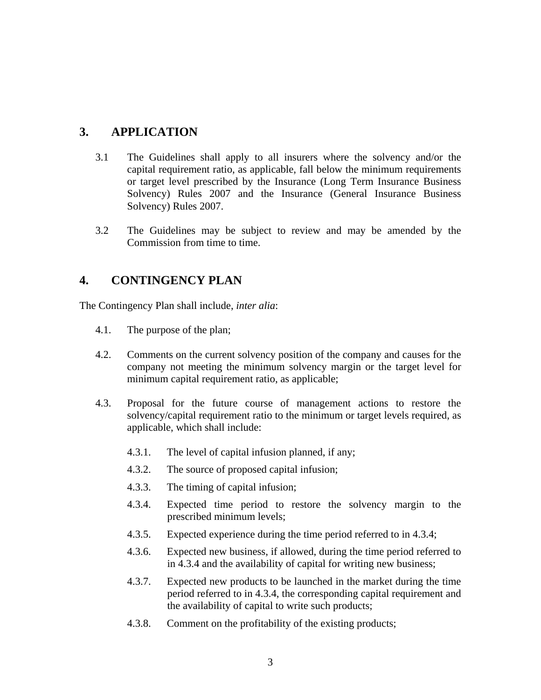#### **3. APPLICATION**

- 3.1 The Guidelines shall apply to all insurers where the solvency and/or the capital requirement ratio, as applicable, fall below the minimum requirements or target level prescribed by the Insurance (Long Term Insurance Business Solvency) Rules 2007 and the Insurance (General Insurance Business Solvency) Rules 2007.
- 3.2 The Guidelines may be subject to review and may be amended by the Commission from time to time.

### **4. CONTINGENCY PLAN**

The Contingency Plan shall include, *inter alia*:

- 4.1. The purpose of the plan;
- 4.2. Comments on the current solvency position of the company and causes for the company not meeting the minimum solvency margin or the target level for minimum capital requirement ratio, as applicable;
- 4.3. Proposal for the future course of management actions to restore the solvency/capital requirement ratio to the minimum or target levels required, as applicable, which shall include:
	- 4.3.1. The level of capital infusion planned, if any;
	- 4.3.2. The source of proposed capital infusion;
	- 4.3.3. The timing of capital infusion;
	- 4.3.4. Expected time period to restore the solvency margin to the prescribed minimum levels;
	- 4.3.5. Expected experience during the time period referred to in 4.3.4;
	- 4.3.6. Expected new business, if allowed, during the time period referred to in 4.3.4 and the availability of capital for writing new business;
	- 4.3.7. Expected new products to be launched in the market during the time period referred to in 4.3.4, the corresponding capital requirement and the availability of capital to write such products;
	- 4.3.8. Comment on the profitability of the existing products;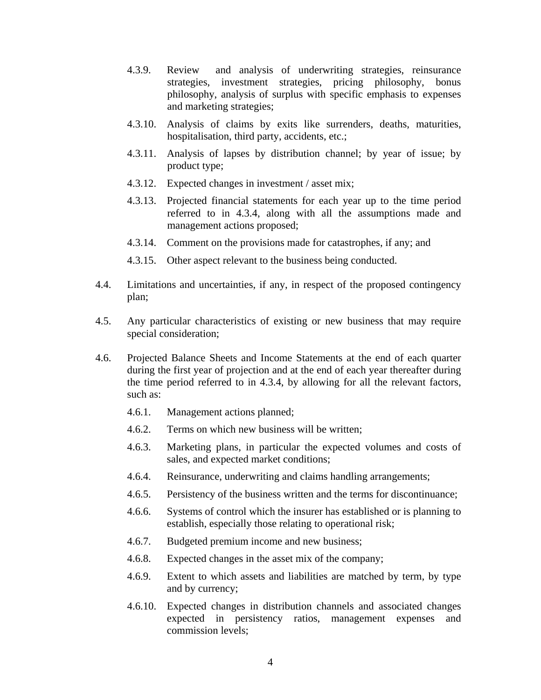- 4.3.9. Review and analysis of underwriting strategies, reinsurance strategies, investment strategies, pricing philosophy, bonus philosophy, analysis of surplus with specific emphasis to expenses and marketing strategies;
- 4.3.10. Analysis of claims by exits like surrenders, deaths, maturities, hospitalisation, third party, accidents, etc.;
- 4.3.11. Analysis of lapses by distribution channel; by year of issue; by product type;
- 4.3.12. Expected changes in investment / asset mix;
- 4.3.13. Projected financial statements for each year up to the time period referred to in 4.3.4, along with all the assumptions made and management actions proposed;
- 4.3.14. Comment on the provisions made for catastrophes, if any; and
- 4.3.15. Other aspect relevant to the business being conducted.
- 4.4. Limitations and uncertainties, if any, in respect of the proposed contingency plan;
- 4.5. Any particular characteristics of existing or new business that may require special consideration;
- 4.6. Projected Balance Sheets and Income Statements at the end of each quarter during the first year of projection and at the end of each year thereafter during the time period referred to in 4.3.4, by allowing for all the relevant factors, such as:
	- 4.6.1. Management actions planned;
	- 4.6.2. Terms on which new business will be written;
	- 4.6.3. Marketing plans, in particular the expected volumes and costs of sales, and expected market conditions;
	- 4.6.4. Reinsurance, underwriting and claims handling arrangements;
	- 4.6.5. Persistency of the business written and the terms for discontinuance;
	- 4.6.6. Systems of control which the insurer has established or is planning to establish, especially those relating to operational risk;
	- 4.6.7. Budgeted premium income and new business;
	- 4.6.8. Expected changes in the asset mix of the company;
	- 4.6.9. Extent to which assets and liabilities are matched by term, by type and by currency;
	- 4.6.10. Expected changes in distribution channels and associated changes expected in persistency ratios, management expenses and commission levels;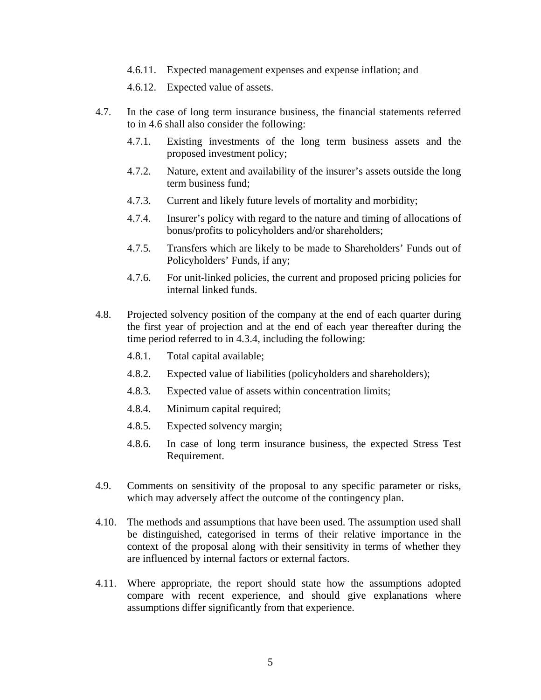4.6.11. Expected management expenses and expense inflation; and

4.6.12. Expected value of assets.

- 4.7. In the case of long term insurance business, the financial statements referred to in 4.6 shall also consider the following:
	- 4.7.1. Existing investments of the long term business assets and the proposed investment policy;
	- 4.7.2. Nature, extent and availability of the insurer's assets outside the long term business fund;
	- 4.7.3. Current and likely future levels of mortality and morbidity;
	- 4.7.4. Insurer's policy with regard to the nature and timing of allocations of bonus/profits to policyholders and/or shareholders;
	- 4.7.5. Transfers which are likely to be made to Shareholders' Funds out of Policyholders' Funds, if any;
	- 4.7.6. For unit-linked policies, the current and proposed pricing policies for internal linked funds.
- 4.8. Projected solvency position of the company at the end of each quarter during the first year of projection and at the end of each year thereafter during the time period referred to in 4.3.4, including the following:
	- 4.8.1. Total capital available;
	- 4.8.2. Expected value of liabilities (policyholders and shareholders);
	- 4.8.3. Expected value of assets within concentration limits;
	- 4.8.4. Minimum capital required;
	- 4.8.5. Expected solvency margin;
	- 4.8.6. In case of long term insurance business, the expected Stress Test Requirement.
- 4.9. Comments on sensitivity of the proposal to any specific parameter or risks, which may adversely affect the outcome of the contingency plan.
- 4.10. The methods and assumptions that have been used. The assumption used shall be distinguished, categorised in terms of their relative importance in the context of the proposal along with their sensitivity in terms of whether they are influenced by internal factors or external factors.
- 4.11. Where appropriate, the report should state how the assumptions adopted compare with recent experience, and should give explanations where assumptions differ significantly from that experience.